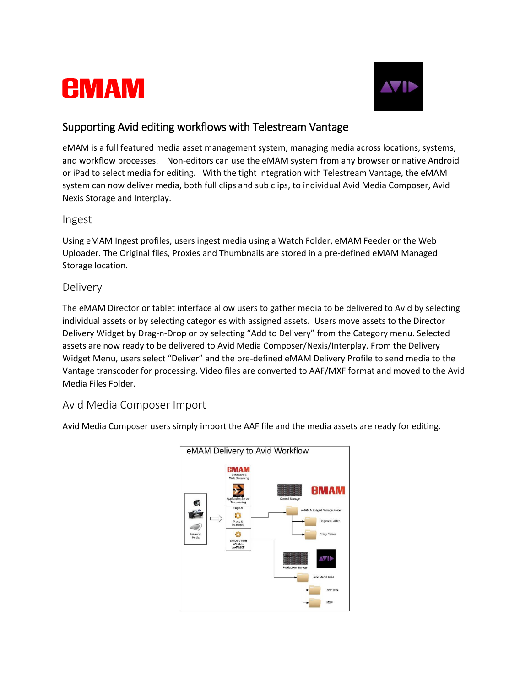



# Supporting Avid editing workflows with Telestream Vantage

eMAM is a full featured media asset management system, managing media across locations, systems, and workflow processes. Non-editors can use the eMAM system from any browser or native Android or iPad to select media for editing. With the tight integration with Telestream Vantage, the eMAM system can now deliver media, both full clips and sub clips, to individual Avid Media Composer, Avid Nexis Storage and Interplay.

#### Ingest

Using eMAM Ingest profiles, users ingest media using a Watch Folder, eMAM Feeder or the Web Uploader. The Original files, Proxies and Thumbnails are stored in a pre-defined eMAM Managed Storage location.

### Delivery

The eMAM Director or tablet interface allow users to gather media to be delivered to Avid by selecting individual assets or by selecting categories with assigned assets. Users move assets to the Director Delivery Widget by Drag-n-Drop or by selecting "Add to Delivery" from the Category menu. Selected assets are now ready to be delivered to Avid Media Composer/Nexis/Interplay. From the Delivery Widget Menu, users select "Deliver" and the pre-defined eMAM Delivery Profile to send media to the Vantage transcoder for processing. Video files are converted to AAF/MXF format and moved to the Avid Media Files Folder.

## Avid Media Composer Import

Avid Media Composer users simply import the AAF file and the media assets are ready for editing.